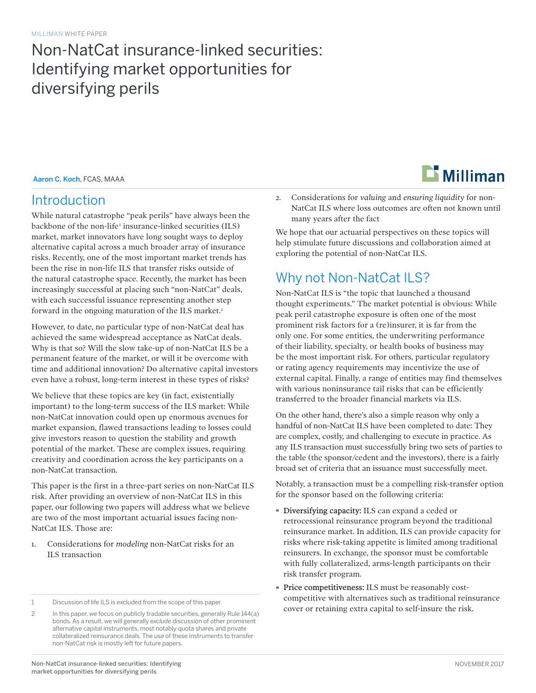# Non-NatCat insurance-linked securities: Identifying market opportunities for diversifying perils

Aaron C. Koch, FCAS, MAAA

### Introduction

While natural catastrophe "peak perils" have always been the backbone of the non-life<sup>1</sup> insurance-linked securities (ILS) market, market innovators have long sought ways to deploy alternative capital across a much broader array of insurance risks. Recently, one of the most important market trends has been the rise in non-life ILS that transfer risks outside of the natural catastrophe space. Recently, the market has been increasingly successful at placing such "non-NatCat" deals, with each successful issuance representing another step forward in the ongoing maturation of the ILS market.<sup>2</sup>

However, to date, no particular type of non-NatCat deal has achieved the same widespread acceptance as NatCat deals. Why is that so? Will the slow take-up of non-NatCat ILS be a permanent feature of the market, or will it be overcome with time and additional innovation? Do alternative capital investors even have a robust, long-term interest in these types of risks?

We believe that these topics are key (in fact, existentially important) to the long-term success of the ILS market: While non-NatCat innovation could open up enormous avenues for market expansion, flawed transactions leading to losses could give investors reason to question the stability and growth potential of the market. These are complex issues, requiring creativity and coordination across the key participants on a non-NatCat transaction.

This paper is the first in a three-part series on non-NatCat ILS risk. After providing an overview of non-NatCat ILS in this paper, our following two papers will address what we believe are two of the most important actuarial issues facing non-NatCat ILS. Those are:

1. Considerations for *modeling* non-NatCat risks for an ILS transaction



2. Considerations for *valuing* and *ensuring liquidity* for non-NatCat ILS where loss outcomes are often not known until many years after the fact

We hope that our actuarial perspectives on these topics will help stimulate future discussions and collaboration aimed at exploring the potential of non-NatCat ILS.

# Why not Non-NatCat ILS?

Non-NatCat ILS is "the topic that launched a thousand thought experiments." The market potential is obvious: While peak peril catastrophe exposure is often one of the most prominent risk factors for a (re)insurer, it is far from the only one. For some entities, the underwriting performance of their liability, specialty, or health books of business may be the most important risk. For others, particular regulatory or rating agency requirements may incentivize the use of external capital. Finally, a range of entities may find themselves with various noninsurance tail risks that can be efficiently transferred to the broader financial markets via ILS.

On the other hand, there's also a simple reason why only a handful of non-NatCat ILS have been completed to date: They are complex, costly, and challenging to execute in practice. As any ILS transaction must successfully bring two sets of parties to the table (the sponsor/cedent and the investors), there is a fairly broad set of criteria that an issuance must successfully meet.

Notably, a transaction must be a compelling risk-transfer option for the sponsor based on the following criteria:

- · Diversifying capacity: ILS can expand a ceded or retrocessional reinsurance program beyond the traditional reinsurance market. In addition, ILS can provide capacity for risks where risk-taking appetite is limited among traditional reinsurers. In exchange, the sponsor must be comfortable with fully collateralized, arms-length participants on their risk transfer program.
- · Price competitiveness: ILS must be reasonably costcompetitive with alternatives such as traditional reinsurance cover or retaining extra capital to self-insure the risk.

<sup>1</sup> Discussion of life ILS is excluded from the scope of this paper.

<sup>2</sup> In this paper, we focus on publicly tradable securities, generally Rule 144(a) bonds. As a result, we will generally *exclude* discussion of other prominent alternative capital instruments, most notably quota shares and private collateralized reinsurance deals. The use of these instruments to transfer non-NatCat risk is mostly left for future papers.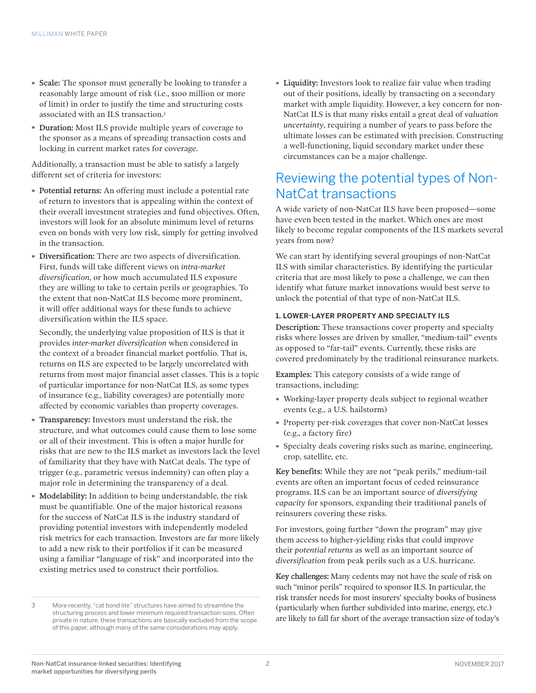- · Scale: The sponsor must generally be looking to transfer a reasonably large amount of risk (i.e., \$100 million or more of limit) in order to justify the time and structuring costs associated with an ILS transaction.3
- · Duration: Most ILS provide multiple years of coverage to the sponsor as a means of spreading transaction costs and locking in current market rates for coverage.

Additionally, a transaction must be able to satisfy a largely different set of criteria for investors:

- · Potential returns: An offering must include a potential rate of return to investors that is appealing within the context of their overall investment strategies and fund objectives. Often, investors will look for an absolute minimum level of returns even on bonds with very low risk, simply for getting involved in the transaction.
- · Diversification: There are two aspects of diversification. First, funds will take different views on *intra-market diversification*, or how much accumulated ILS exposure they are willing to take to certain perils or geographies. To the extent that non-NatCat ILS become more prominent, it will offer additional ways for these funds to achieve diversification within the ILS space.

Secondly, the underlying value proposition of ILS is that it provides *inter-market diversification* when considered in the context of a broader financial market portfolio. That is, returns on ILS are expected to be largely uncorrelated with returns from most major financial asset classes. This is a topic of particular importance for non-NatCat ILS, as some types of insurance (e.g., liability coverages) are potentially more affected by economic variables than property coverages.

- · Transparency: Investors must understand the risk, the structure, and what outcomes could cause them to lose some or all of their investment. This is often a major hurdle for risks that are new to the ILS market as investors lack the level of familiarity that they have with NatCat deals. The type of trigger (e.g., parametric versus indemnity) can often play a major role in determining the transparency of a deal.
- · Modelability: In addition to being understandable, the risk must be quantifiable. One of the major historical reasons for the success of NatCat ILS is the industry standard of providing potential investors with independently modeled risk metrics for each transaction. Investors are far more likely to add a new risk to their portfolios if it can be measured using a familiar "language of risk" and incorporated into the existing metrics used to construct their portfolios.

· Liquidity: Investors look to realize fair value when trading out of their positions, ideally by transacting on a secondary market with ample liquidity. However, a key concern for non-NatCat ILS is that many risks entail a great deal of *valuation uncertainty*, requiring a number of years to pass before the ultimate losses can be estimated with precision. Constructing a well-functioning, liquid secondary market under these circumstances can be a major challenge.

### Reviewing the potential types of Non-NatCat transactions

A wide variety of non-NatCat ILS have been proposed—some have even been tested in the market. Which ones are most likely to become regular components of the ILS markets several years from now?

We can start by identifying several groupings of non-NatCat ILS with similar characteristics. By identifying the particular criteria that are most likely to pose a challenge, we can then identify what future market innovations would best serve to unlock the potential of that type of non-NatCat ILS.

#### **1. LOWER-LAYER PROPERTY AND SPECIALTY ILS**

Description: These transactions cover property and specialty risks where losses are driven by smaller, "medium-tail" events as opposed to "far-tail" events. Currently, these risks are covered predominately by the traditional reinsurance markets.

Examples: This category consists of a wide range of transactions, including:

- · Working-layer property deals subject to regional weather events (e.g., a U.S. hailstorm)
- · Property per-risk coverages that cover non-NatCat losses (e.g., a factory fire)
- · Specialty deals covering risks such as marine, engineering, crop, satellite, etc.

Key benefits: While they are not "peak perils," medium-tail events are often an important focus of ceded reinsurance programs. ILS can be an important source of *diversifying capacity* for sponsors, expanding their traditional panels of reinsurers covering these risks.

For investors, going further "down the program" may give them access to higher-yielding risks that could improve their *potential returns* as well as an important source of *diversification* from peak perils such as a U.S. hurricane.

Key challenges: Many cedents may not have the *scale* of risk on such "minor perils" required to sponsor ILS. In particular, the risk transfer needs for most insurers' specialty books of business (particularly when further subdivided into marine, energy, etc.) are likely to fall far short of the average transaction size of today's

<sup>3</sup> More recently, "cat bond lite" structures have aimed to streamline the structuring process and lower minimum required transaction sizes. Often private in nature, these transactions are basically excluded from the scope of this paper, although many of the same considerations may apply.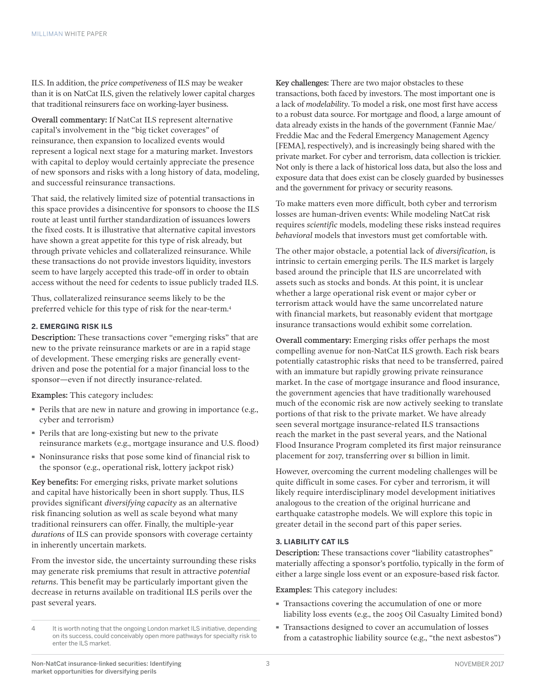ILS. In addition, the *price competiveness* of ILS may be weaker than it is on NatCat ILS, given the relatively lower capital charges that traditional reinsurers face on working-layer business.

Overall commentary: If NatCat ILS represent alternative capital's involvement in the "big ticket coverages" of reinsurance, then expansion to localized events would represent a logical next stage for a maturing market. Investors with capital to deploy would certainly appreciate the presence of new sponsors and risks with a long history of data, modeling, and successful reinsurance transactions.

That said, the relatively limited size of potential transactions in this space provides a disincentive for sponsors to choose the ILS route at least until further standardization of issuances lowers the fixed costs. It is illustrative that alternative capital investors have shown a great appetite for this type of risk already, but through private vehicles and collateralized reinsurance. While these transactions do not provide investors liquidity, investors seem to have largely accepted this trade-off in order to obtain access without the need for cedents to issue publicly traded ILS.

Thus, collateralized reinsurance seems likely to be the preferred vehicle for this type of risk for the near-term.4

#### **2. EMERGING RISK ILS**

Description: These transactions cover "emerging risks" that are new to the private reinsurance markets or are in a rapid stage of development. These emerging risks are generally eventdriven and pose the potential for a major financial loss to the sponsor—even if not directly insurance-related.

Examples: This category includes:

- · Perils that are new in nature and growing in importance (e.g., cyber and terrorism)
- · Perils that are long-existing but new to the private reinsurance markets (e.g., mortgage insurance and U.S. flood)
- · Noninsurance risks that pose some kind of financial risk to the sponsor (e.g., operational risk, lottery jackpot risk)

Key benefits: For emerging risks, private market solutions and capital have historically been in short supply. Thus, ILS provides significant *diversifying capacity* as an alternative risk financing solution as well as scale beyond what many traditional reinsurers can offer. Finally, the multiple-year *durations* of ILS can provide sponsors with coverage certainty in inherently uncertain markets.

From the investor side, the uncertainty surrounding these risks may generate risk premiums that result in attractive *potential returns*. This benefit may be particularly important given the decrease in returns available on traditional ILS perils over the past several years.

Key challenges: There are two major obstacles to these transactions, both faced by investors. The most important one is a lack of *modelability*. To model a risk, one most first have access to a robust data source. For mortgage and flood, a large amount of data already exists in the hands of the government (Fannie Mae/ Freddie Mac and the Federal Emergency Management Agency [FEMA], respectively), and is increasingly being shared with the private market. For cyber and terrorism, data collection is trickier. Not only is there a lack of historical loss data, but also the loss and exposure data that does exist can be closely guarded by businesses and the government for privacy or security reasons.

To make matters even more difficult, both cyber and terrorism losses are human-driven events: While modeling NatCat risk requires *scientific* models, modeling these risks instead requires *behavioral* models that investors must get comfortable with.

The other major obstacle, a potential lack of *diversification*, is intrinsic to certain emerging perils. The ILS market is largely based around the principle that ILS are uncorrelated with assets such as stocks and bonds. At this point, it is unclear whether a large operational risk event or major cyber or terrorism attack would have the same uncorrelated nature with financial markets, but reasonably evident that mortgage insurance transactions would exhibit some correlation.

Overall commentary: Emerging risks offer perhaps the most compelling avenue for non-NatCat ILS growth. Each risk bears potentially catastrophic risks that need to be transferred, paired with an immature but rapidly growing private reinsurance market. In the case of mortgage insurance and flood insurance, the government agencies that have traditionally warehoused much of the economic risk are now actively seeking to translate portions of that risk to the private market. We have already seen several mortgage insurance-related ILS transactions reach the market in the past several years, and the National Flood Insurance Program completed its first major reinsurance placement for 2017, transferring over \$1 billion in limit.

However, overcoming the current modeling challenges will be quite difficult in some cases. For cyber and terrorism, it will likely require interdisciplinary model development initiatives analogous to the creation of the original hurricane and earthquake catastrophe models. We will explore this topic in greater detail in the second part of this paper series.

#### **3. LIABILITY CAT ILS**

Description: These transactions cover "liability catastrophes" materially affecting a sponsor's portfolio, typically in the form of either a large single loss event or an exposure-based risk factor.

Examples: This category includes:

- · Transactions covering the accumulation of one or more liability loss events (e.g., the 2005 Oil Casualty Limited bond)
- · Transactions designed to cover an accumulation of losses from a catastrophic liability source (e.g., "the next asbestos")

<sup>4</sup> It is worth noting that the ongoing London market ILS initiative, depending on its success, could conceivably open more pathways for specialty risk to enter the ILS market.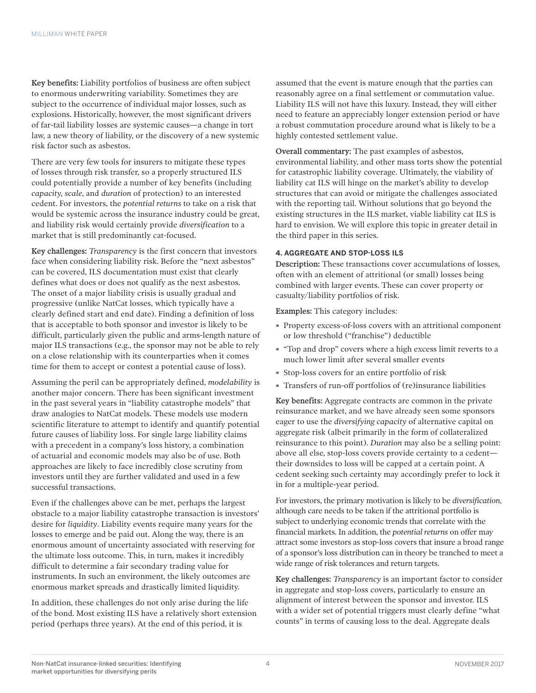Key benefits: Liability portfolios of business are often subject to enormous underwriting variability. Sometimes they are subject to the occurrence of individual major losses, such as explosions. Historically, however, the most significant drivers of far-tail liability losses are systemic causes—a change in tort law, a new theory of liability, or the discovery of a new systemic risk factor such as asbestos.

There are very few tools for insurers to mitigate these types of losses through risk transfer, so a properly structured ILS could potentially provide a number of key benefits (including *capacity, scale*, and *duration* of protection) to an interested cedent. For investors, the *potential returns* to take on a risk that would be systemic across the insurance industry could be great, and liability risk would certainly provide *diversification* to a market that is still predominantly cat-focused.

Key challenges: *Transparency* is the first concern that investors face when considering liability risk. Before the "next asbestos" can be covered, ILS documentation must exist that clearly defines what does or does not qualify as the next asbestos. The onset of a major liability crisis is usually gradual and progressive (unlike NatCat losses, which typically have a clearly defined start and end date). Finding a definition of loss that is acceptable to both sponsor and investor is likely to be difficult, particularly given the public and arms-length nature of major ILS transactions (e.g., the sponsor may not be able to rely on a close relationship with its counterparties when it comes time for them to accept or contest a potential cause of loss).

Assuming the peril can be appropriately defined, *modelability* is another major concern. There has been significant investment in the past several years in "liability catastrophe models" that draw analogies to NatCat models. These models use modern scientific literature to attempt to identify and quantify potential future causes of liability loss. For single large liability claims with a precedent in a company's loss history, a combination of actuarial and economic models may also be of use. Both approaches are likely to face incredibly close scrutiny from investors until they are further validated and used in a few successful transactions.

Even if the challenges above can be met, perhaps the largest obstacle to a major liability catastrophe transaction is investors' desire for *liquidity*. Liability events require many years for the losses to emerge and be paid out. Along the way, there is an enormous amount of uncertainty associated with reserving for the ultimate loss outcome. This, in turn, makes it incredibly difficult to determine a fair secondary trading value for instruments. In such an environment, the likely outcomes are enormous market spreads and drastically limited liquidity.

In addition, these challenges do not only arise during the life of the bond. Most existing ILS have a relatively short extension period (perhaps three years). At the end of this period, it is

assumed that the event is mature enough that the parties can reasonably agree on a final settlement or commutation value. Liability ILS will not have this luxury. Instead, they will either need to feature an appreciably longer extension period or have a robust commutation procedure around what is likely to be a highly contested settlement value.

Overall commentary: The past examples of asbestos, environmental liability, and other mass torts show the potential for catastrophic liability coverage. Ultimately, the viability of liability cat ILS will hinge on the market's ability to develop structures that can avoid or mitigate the challenges associated with the reporting tail. Without solutions that go beyond the existing structures in the ILS market, viable liability cat ILS is hard to envision. We will explore this topic in greater detail in the third paper in this series.

#### **4. AGGREGATE AND STOP-LOSS ILS**

Description: These transactions cover accumulations of losses, often with an element of attritional (or small) losses being combined with larger events. These can cover property or casualty/liability portfolios of risk.

Examples: This category includes:

- · Property excess-of-loss covers with an attritional component or low threshold ("franchise") deductible
- · "Top and drop" covers where a high excess limit reverts to a much lower limit after several smaller events
- · Stop-loss covers for an entire portfolio of risk
- · Transfers of run-off portfolios of (re)insurance liabilities

Key benefits: Aggregate contracts are common in the private reinsurance market, and we have already seen some sponsors eager to use the *diversifying capacity* of alternative capital on aggregate risk (albeit primarily in the form of collateralized reinsurance to this point). *Duration* may also be a selling point: above all else, stop-loss covers provide certainty to a cedent their downsides to loss will be capped at a certain point. A cedent seeking such certainty may accordingly prefer to lock it in for a multiple-year period.

For investors, the primary motivation is likely to be *diversification*, although care needs to be taken if the attritional portfolio is subject to underlying economic trends that correlate with the financial markets. In addition, the *potential returns* on offer may attract some investors as stop-loss covers that insure a broad range of a sponsor's loss distribution can in theory be tranched to meet a wide range of risk tolerances and return targets.

Key challenges: *Transparency* is an important factor to consider in aggregate and stop-loss covers, particularly to ensure an alignment of interest between the sponsor and investor. ILS with a wider set of potential triggers must clearly define "what counts" in terms of causing loss to the deal. Aggregate deals